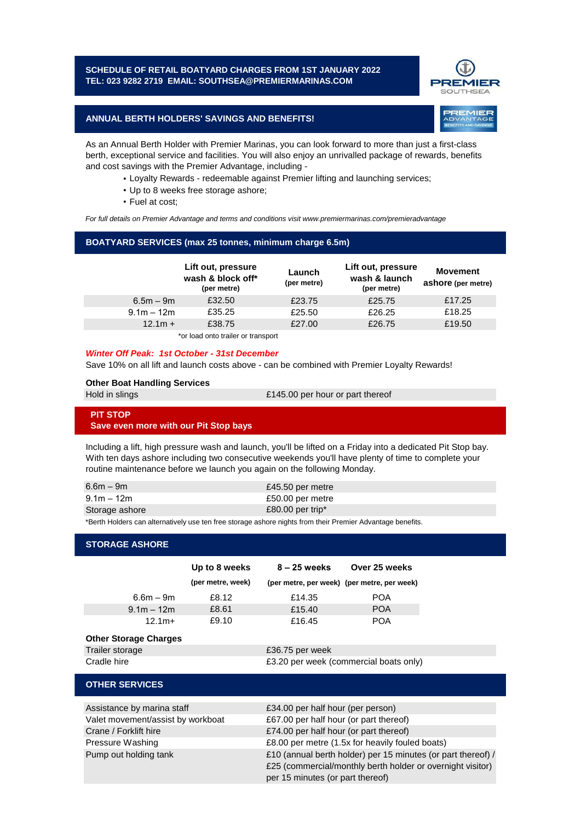### **SCHEDULE OF RETAIL BOATYARD CHARGES FROM 1ST JANUARY 2022 TEL: 023 9282 2719 EMAIL: SOUTHSEA@PREMIERMARINAS.COM**



**REMIER** 

## **ANNUAL BERTH HOLDERS' SAVINGS AND BENEFITS!**

As an Annual Berth Holder with Premier Marinas, you can look forward to more than just a first-class berth, exceptional service and facilities. You will also enjoy an unrivalled package of rewards, benefits and cost savings with the Premier Advantage, including -

- Loyalty Rewards redeemable against Premier lifting and launching services;
- Up to 8 weeks free storage ashore;
- Fuel at cost;

*For full details on Premier Advantage and terms and conditions visit www.premiermarinas.com/premieradvantage*

### **BOATYARD SERVICES (max 25 tonnes, minimum charge 6.5m)**

|              | Lift out, pressure<br>wash & block off*<br>(per metre) | Launch<br>(per metre) | Lift out, pressure<br>wash & launch<br>(per metre) | Movement<br>ashore (per metre) |
|--------------|--------------------------------------------------------|-----------------------|----------------------------------------------------|--------------------------------|
| $6.5m - 9m$  | £32.50                                                 | £23.75                | £25.75                                             | £17.25                         |
| $9.1m - 12m$ | £35.25                                                 | £25.50                | £26.25                                             | £18.25                         |
| $12.1m +$    | £38.75                                                 | £27.00                | £26.75                                             | £19.50                         |

\*or load onto trailer or transport

#### *Winter Off Peak: 1st October - 31st December*

Save 10% on all lift and launch costs above - can be combined with Premier Loyalty Rewards!

#### **Other Boat Handling Services**

|  | Hold in slings |  |  |
|--|----------------|--|--|
|  |                |  |  |
|  |                |  |  |
|  |                |  |  |

£145.00 per hour or part thereof

# **PIT STOP Save even more with our Pit Stop bays**

Including a lift, high pressure wash and launch, you'll be lifted on a Friday into a dedicated Pit Stop bay. With ten days ashore including two consecutive weekends you'll have plenty of time to complete your routine maintenance before we launch you again on the following Monday.

| $6.6m - 9m$    | £45.50 per metre   |
|----------------|--------------------|
| $9.1m - 12m$   | £50.00 per metre   |
| Storage ashore | $£80.00$ per trip* |

\*Berth Holders can alternatively use ten free storage ashore nights from their Premier Advantage benefits.

### **STORAGE ASHORE**

|                                   |                              | Up to 8 weeks                          | $8 - 25$ weeks                    | Over 25 weeks                               |
|-----------------------------------|------------------------------|----------------------------------------|-----------------------------------|---------------------------------------------|
|                                   |                              | (per metre, week)                      |                                   | (per metre, per week) (per metre, per week) |
|                                   | $6.6m - 9m$                  | £8.12                                  | £14.35                            | <b>POA</b>                                  |
|                                   | $9.1m - 12m$                 | £8.61                                  | £15.40                            | <b>POA</b>                                  |
|                                   | $12.1m+$                     | £9.10                                  | £16.45                            | <b>POA</b>                                  |
|                                   | <b>Other Storage Charges</b> |                                        |                                   |                                             |
|                                   | Trailer storage              |                                        | £36.75 per week                   |                                             |
|                                   | Cradle hire                  |                                        |                                   | £3.20 per week (commercial boats only)      |
|                                   | <b>OTHER SERVICES</b>        |                                        |                                   |                                             |
|                                   | Assistance by marina staff   |                                        | £34.00 per half hour (per person) |                                             |
| Valet movement/assist by workboat |                              | £67.00 per half hour (or part thereof) |                                   |                                             |

| Valet movement/assist by workboat | £67.00 per half hour (or part thereof)                       |
|-----------------------------------|--------------------------------------------------------------|
| Crane / Forklift hire             | £74.00 per half hour (or part thereof)                       |
| Pressure Washing                  | £8.00 per metre (1.5x for heavily fouled boats)              |
| Pump out holding tank             | £10 (annual berth holder) per 15 minutes (or part thereof) / |
|                                   | £25 (commercial/monthly berth holder or overnight visitor)   |
|                                   | per 15 minutes (or part thereof)                             |